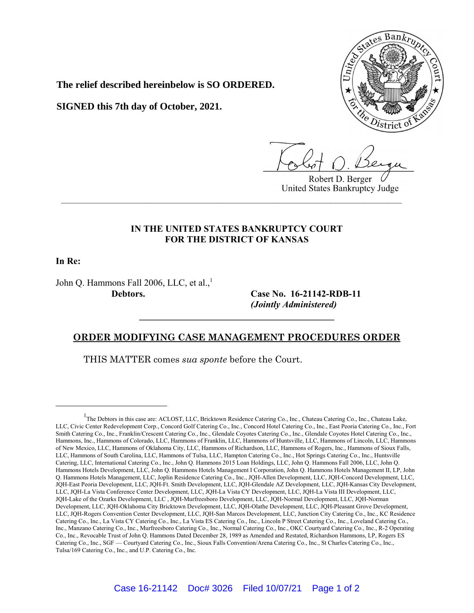

**The relief described hereinbelow is SO ORDERED.**

**SIGNED this 7th day of October, 2021.**

Robert D. Berger United States Bankruptcy Judge

## **IN THE UNITED STATES BANKRUPTCY COURT FOR THE DISTRICT OF KANSAS**

**\_\_\_\_\_\_\_\_\_\_\_\_\_\_\_\_\_\_\_\_\_\_\_\_\_\_\_\_\_\_\_\_\_\_\_\_\_\_\_\_\_\_\_\_\_\_\_\_\_\_\_\_\_\_\_\_\_\_\_\_\_\_\_\_\_\_\_\_\_\_\_\_**

**In Re:**

John Q. Hammons Fall 2006, LLC, et al., $<sup>1</sup>$ </sup>

**Debtors. Case No. 16-21142-RDB-11** *(Jointly Administered)*

## **ORDER MODIFYING CASE MANAGEMENT PROCEDURES ORDER**

 $\mathcal{L} = \{ \mathcal{L} \}$ 

THIS MATTER comes *sua sponte* before the Court.

<sup>&</sup>lt;sup>1</sup>The Debtors in this case are: ACLOST, LLC, Bricktown Residence Catering Co., Inc., Chateau Catering Co., Inc., Chateau Lake, LLC, Civic Center Redevelopment Corp., Concord Golf Catering Co., Inc., Concord Hotel Catering Co., Inc., East Peoria Catering Co., Inc., Fort Smith Catering Co., Inc., Franklin/Crescent Catering Co., Inc., Glendale Coyotes Catering Co., Inc., Glendale Coyotes Hotel Catering Co., Inc., Hammons, Inc., Hammons of Colorado, LLC, Hammons of Franklin, LLC, Hammons of Huntsville, LLC, Hammons of Lincoln, LLC, Hammons of New Mexico, LLC, Hammons of Oklahoma City, LLC, Hammons of Richardson, LLC, Hammons of Rogers, Inc., Hammons of Sioux Falls, LLC, Hammons of South Carolina, LLC, Hammons of Tulsa, LLC, Hampton Catering Co., Inc., Hot Springs Catering Co., Inc., Huntsville Catering, LLC, International Catering Co., Inc., John Q. Hammons 2015 Loan Holdings, LLC, John Q. Hammons Fall 2006, LLC, John Q. Hammons Hotels Development, LLC, John Q. Hammons Hotels Management I Corporation, John Q. Hammons Hotels Management II, LP, John Q. Hammons Hotels Management, LLC, Joplin Residence Catering Co., Inc., JQH-Allen Development, LLC, JQH-Concord Development, LLC, JQH-East Peoria Development, LLC, JQH-Ft. Smith Development, LLC, JQH-Glendale AZ Development, LLC, JQH-Kansas City Development, LLC, JQH-La Vista Conference Center Development, LLC, JQH-La Vista CY Development, LLC, JQH-La Vista III Development, LLC, JQH-Lake of the Ozarks Development, LLC , JQH-Murfreesboro Development, LLC, JQH-Normal Development, LLC, JQH-Norman Development, LLC, JQH-Oklahoma City Bricktown Development, LLC, JQH-Olathe Development, LLC, JQH-Pleasant Grove Development, LLC, JQH-Rogers Convention Center Development, LLC, JQH-San Marcos Development, LLC, Junction City Catering Co., Inc., KC Residence Catering Co., Inc., La Vista CY Catering Co., Inc., La Vista ES Catering Co., Inc., Lincoln P Street Catering Co., Inc., Loveland Catering Co., Inc., Manzano Catering Co., Inc., Murfreesboro Catering Co., Inc., Normal Catering Co., Inc., OKC Courtyard Catering Co., Inc., R-2 Operating Co., Inc., Revocable Trust of John Q. Hammons Dated December 28, 1989 as Amended and Restated, Richardson Hammons, LP, Rogers ES Catering Co., Inc., SGF — Courtyard Catering Co., Inc., Sioux Falls Convention/Arena Catering Co., Inc., St Charles Catering Co., Inc., Tulsa/169 Catering Co., Inc., and U.P. Catering Co., Inc.